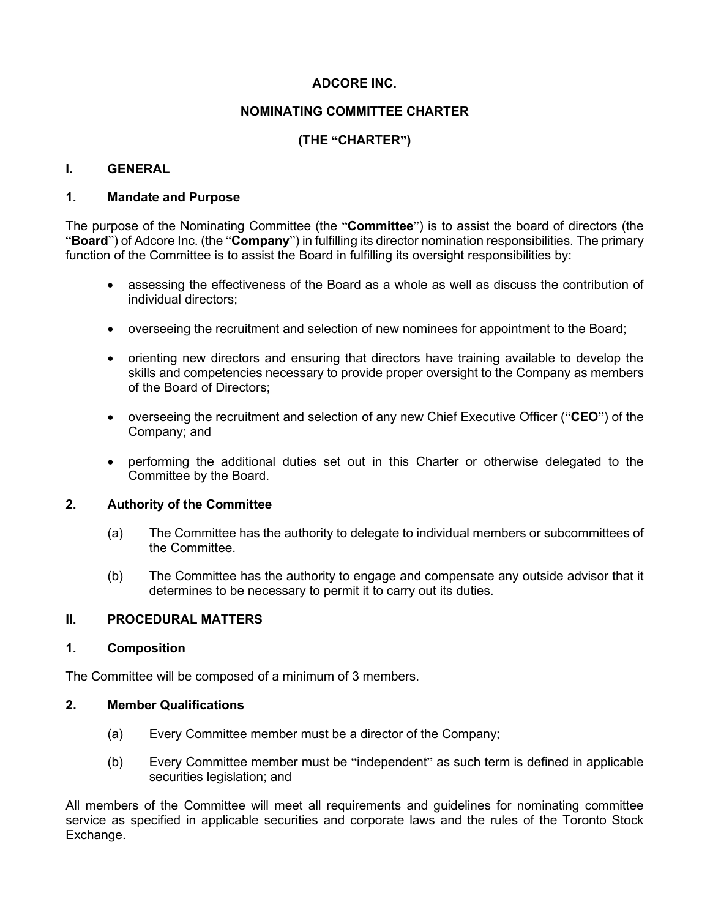# **ADCORE INC.**

# **NOMINATING COMMITTEE CHARTER**

# **(THE "CHARTER")**

## **I. GENERAL**

#### **1. Mandate and Purpose**

The purpose of the Nominating Committee (the "**Committee**") is to assist the board of directors (the "**Board**") of Adcore Inc. (the "**Company**") in fulfilling its director nomination responsibilities. The primary function of the Committee is to assist the Board in fulfilling its oversight responsibilities by:

- assessing the effectiveness of the Board as a whole as well as discuss the contribution of individual directors;
- overseeing the recruitment and selection of new nominees for appointment to the Board;
- orienting new directors and ensuring that directors have training available to develop the skills and competencies necessary to provide proper oversight to the Company as members of the Board of Directors;
- overseeing the recruitment and selection of any new Chief Executive Officer ("**CEO**") of the Company; and
- performing the additional duties set out in this Charter or otherwise delegated to the Committee by the Board.

## **2. Authority of the Committee**

- (a) The Committee has the authority to delegate to individual members or subcommittees of the Committee.
- (b) The Committee has the authority to engage and compensate any outside advisor that it determines to be necessary to permit it to carry out its duties.

## **II. PROCEDURAL MATTERS**

#### **1. Composition**

The Committee will be composed of a minimum of 3 members.

#### **2. Member Qualifications**

- (a) Every Committee member must be a director of the Company;
- (b) Every Committee member must be "independent" as such term is defined in applicable securities legislation; and

All members of the Committee will meet all requirements and guidelines for nominating committee service as specified in applicable securities and corporate laws and the rules of the Toronto Stock Exchange.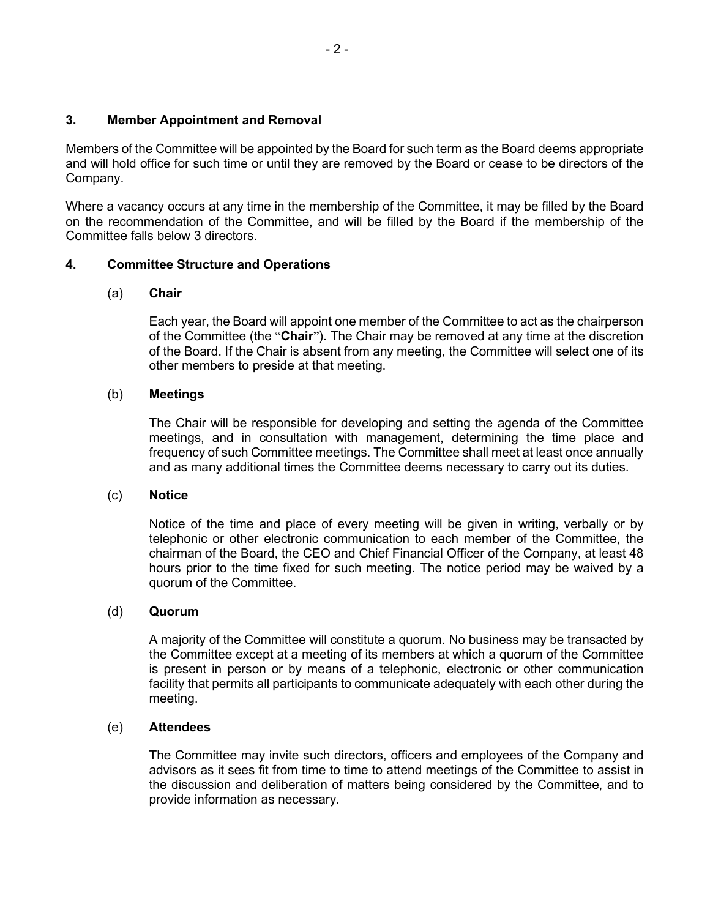## **3. Member Appointment and Removal**

Members of the Committee will be appointed by the Board for such term as the Board deems appropriate and will hold office for such time or until they are removed by the Board or cease to be directors of the Company.

Where a vacancy occurs at any time in the membership of the Committee, it may be filled by the Board on the recommendation of the Committee, and will be filled by the Board if the membership of the Committee falls below 3 directors.

# **4. Committee Structure and Operations**

# (a) **Chair**

Each year, the Board will appoint one member of the Committee to act as the chairperson of the Committee (the "**Chair**"). The Chair may be removed at any time at the discretion of the Board. If the Chair is absent from any meeting, the Committee will select one of its other members to preside at that meeting.

# (b) **Meetings**

The Chair will be responsible for developing and setting the agenda of the Committee meetings, and in consultation with management, determining the time place and frequency of such Committee meetings. The Committee shall meet at least once annually and as many additional times the Committee deems necessary to carry out its duties.

# (c) **Notice**

Notice of the time and place of every meeting will be given in writing, verbally or by telephonic or other electronic communication to each member of the Committee, the chairman of the Board, the CEO and Chief Financial Officer of the Company, at least 48 hours prior to the time fixed for such meeting. The notice period may be waived by a quorum of the Committee.

# (d) **Quorum**

A majority of the Committee will constitute a quorum. No business may be transacted by the Committee except at a meeting of its members at which a quorum of the Committee is present in person or by means of a telephonic, electronic or other communication facility that permits all participants to communicate adequately with each other during the meeting.

# (e) **Attendees**

The Committee may invite such directors, officers and employees of the Company and advisors as it sees fit from time to time to attend meetings of the Committee to assist in the discussion and deliberation of matters being considered by the Committee, and to provide information as necessary.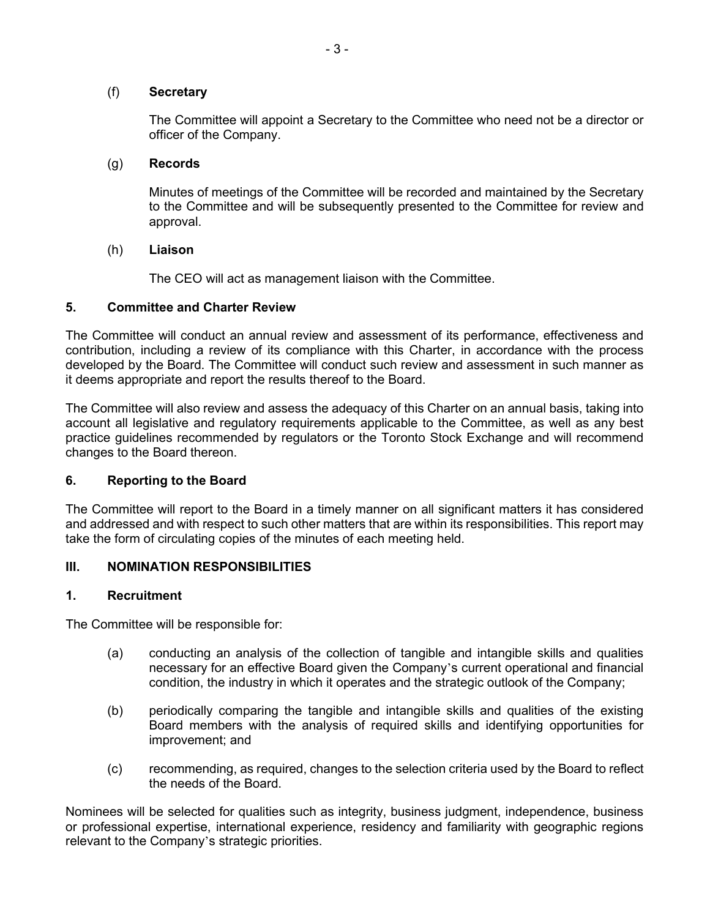## (f) **Secretary**

The Committee will appoint a Secretary to the Committee who need not be a director or officer of the Company.

#### (g) **Records**

Minutes of meetings of the Committee will be recorded and maintained by the Secretary to the Committee and will be subsequently presented to the Committee for review and approval.

#### (h) **Liaison**

The CEO will act as management liaison with the Committee.

## **5. Committee and Charter Review**

The Committee will conduct an annual review and assessment of its performance, effectiveness and contribution, including a review of its compliance with this Charter, in accordance with the process developed by the Board. The Committee will conduct such review and assessment in such manner as it deems appropriate and report the results thereof to the Board.

The Committee will also review and assess the adequacy of this Charter on an annual basis, taking into account all legislative and regulatory requirements applicable to the Committee, as well as any best practice guidelines recommended by regulators or the Toronto Stock Exchange and will recommend changes to the Board thereon.

## **6. Reporting to the Board**

The Committee will report to the Board in a timely manner on all significant matters it has considered and addressed and with respect to such other matters that are within its responsibilities. This report may take the form of circulating copies of the minutes of each meeting held.

## **III. NOMINATION RESPONSIBILITIES**

## **1. Recruitment**

The Committee will be responsible for:

- (a) conducting an analysis of the collection of tangible and intangible skills and qualities necessary for an effective Board given the Company's current operational and financial condition, the industry in which it operates and the strategic outlook of the Company;
- (b) periodically comparing the tangible and intangible skills and qualities of the existing Board members with the analysis of required skills and identifying opportunities for improvement; and
- (c) recommending, as required, changes to the selection criteria used by the Board to reflect the needs of the Board.

Nominees will be selected for qualities such as integrity, business judgment, independence, business or professional expertise, international experience, residency and familiarity with geographic regions relevant to the Company's strategic priorities.